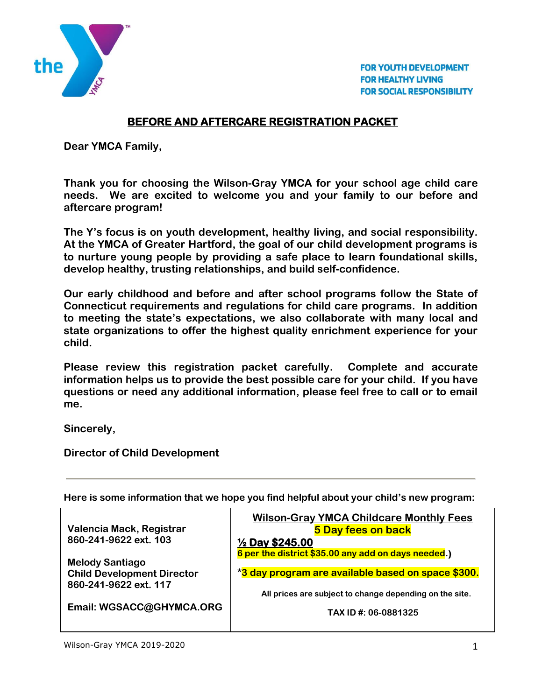

**FOR YOUTH DEVELOPMENT FOR HEALTHY LIVING FOR SOCIAL RESPONSIBILITY** 

## **BEFORE AND AFTERCARE REGISTRATION PACKET**

**Dear YMCA Family,**

**Thank you for choosing the Wilson-Gray YMCA for your school age child care needs. We are excited to welcome you and your family to our before and aftercare program!**

**The Y's focus is on youth development, healthy living, and social responsibility. At the YMCA of Greater Hartford, the goal of our child development programs is to nurture young people by providing a safe place to learn foundational skills, develop healthy, trusting relationships, and build self-confidence.**

**Our early childhood and before and after school programs follow the State of Connecticut requirements and regulations for child care programs. In addition to meeting the state's expectations, we also collaborate with many local and state organizations to offer the highest quality enrichment experience for your child.** 

**Please review this registration packet carefully. Complete and accurate information helps us to provide the best possible care for your child. If you have questions or need any additional information, please feel free to call or to email me.**

**Sincerely,**

**Director of Child Development**

**Here is some information that we hope you find helpful about your child's new program:**

| Valencia Mack, Registrar          | <b>Wilson-Gray YMCA Childcare Monthly Fees</b><br>5 Day fees on back |
|-----------------------------------|----------------------------------------------------------------------|
| 860-241-9622 ext. 103             | $\frac{1}{2}$ Day \$245.00                                           |
| <b>Melody Santiago</b>            | 6 per the district \$35.00 any add on days needed.)                  |
| <b>Child Development Director</b> | *3 day program are available based on space \$300.                   |
| 860-241-9622 ext. 117             |                                                                      |
|                                   | All prices are subject to change depending on the site.              |
| Email: WGSACC@GHYMCA.ORG          | TAX ID #: 06-0881325                                                 |
|                                   |                                                                      |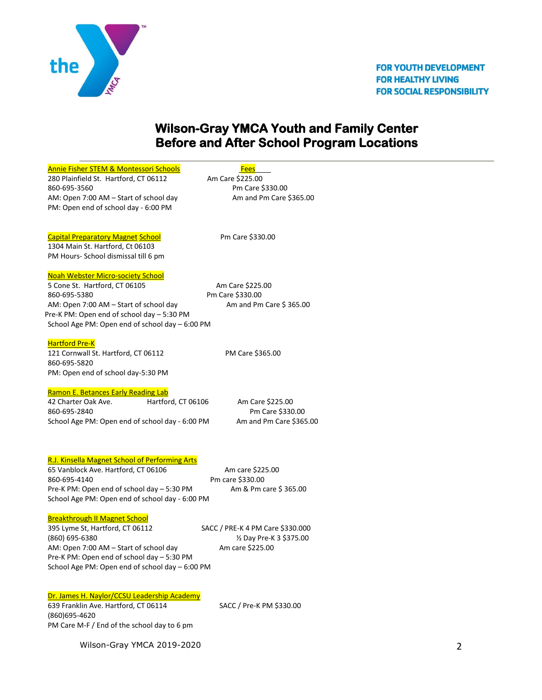

# **Wilson-Gray YMCA Youth and Family Center Before and After School Program Locations**

|                                                                                                                                                                                                                                                                                         | <b>Fees</b>                      |
|-----------------------------------------------------------------------------------------------------------------------------------------------------------------------------------------------------------------------------------------------------------------------------------------|----------------------------------|
| 280 Plainfield St. Hartford, CT 06112                                                                                                                                                                                                                                                   | Am Care \$225.00                 |
| 860-695-3560                                                                                                                                                                                                                                                                            | Pm Care \$330.00                 |
| AM: Open 7:00 AM - Start of school day<br>PM: Open end of school day - 6:00 PM                                                                                                                                                                                                          | Am and Pm Care \$365.00          |
| <b>Capital Preparatory Magnet School</b><br>1304 Main St. Hartford, Ct 06103                                                                                                                                                                                                            | Pm Care \$330.00                 |
| PM Hours- School dismissal till 6 pm                                                                                                                                                                                                                                                    |                                  |
| Noah Webster Micro-society School                                                                                                                                                                                                                                                       |                                  |
| 5 Cone St. Hartford, CT 06105                                                                                                                                                                                                                                                           | Am Care \$225.00                 |
| 860-695-5380                                                                                                                                                                                                                                                                            | Pm Care \$330.00                 |
| AM: Open 7:00 AM - Start of school day                                                                                                                                                                                                                                                  | Am and Pm Care \$365.00          |
| Pre-K PM: Open end of school day - 5:30 PM                                                                                                                                                                                                                                              |                                  |
| School Age PM: Open end of school day - 6:00 PM                                                                                                                                                                                                                                         |                                  |
| Hartford Pre-K                                                                                                                                                                                                                                                                          |                                  |
| 121 Cornwall St. Hartford, CT 06112                                                                                                                                                                                                                                                     | PM Care \$365.00                 |
| 860-695-5820                                                                                                                                                                                                                                                                            |                                  |
| PM: Open end of school day-5:30 PM                                                                                                                                                                                                                                                      |                                  |
| Ramon E. Betances Early Reading Lab                                                                                                                                                                                                                                                     |                                  |
| 42 Charter Oak Ave.<br>Hartford, CT 06106                                                                                                                                                                                                                                               | Am Care \$225.00                 |
| 860-695-2840                                                                                                                                                                                                                                                                            | Pm Care \$330.00                 |
| School Age PM: Open end of school day - 6:00 PM                                                                                                                                                                                                                                         | Am and Pm Care \$365.00          |
| <b>R.J. Kinsella Magnet School of Performing Arts</b><br>65 Vanblock Ave. Hartford, CT 06106                                                                                                                                                                                            | Am care \$225.00                 |
| 860-695-4140                                                                                                                                                                                                                                                                            | Pm care \$330.00                 |
| Pre-K PM: Open end of school day - 5:30 PM                                                                                                                                                                                                                                              | Am & Pm care \$365.00            |
|                                                                                                                                                                                                                                                                                         |                                  |
|                                                                                                                                                                                                                                                                                         |                                  |
|                                                                                                                                                                                                                                                                                         | SACC / PRE-K 4 PM Care \$330.000 |
|                                                                                                                                                                                                                                                                                         | 1/2 Day Pre-K 3 \$375.00         |
|                                                                                                                                                                                                                                                                                         | Am care \$225.00                 |
|                                                                                                                                                                                                                                                                                         |                                  |
| School Age PM: Open end of school day - 6:00 PM<br><b>Breakthrough II Magnet School</b><br>395 Lyme St, Hartford, CT 06112<br>(860) 695-6380<br>AM: Open 7:00 AM - Start of school day<br>Pre-K PM: Open end of school day - 5:30 PM<br>School Age PM: Open end of school day - 6:00 PM |                                  |
|                                                                                                                                                                                                                                                                                         |                                  |
| Dr. James H. Naylor/CCSU Leadership Academy                                                                                                                                                                                                                                             |                                  |
| 639 Franklin Ave. Hartford, CT 06114                                                                                                                                                                                                                                                    | SACC / Pre-K PM \$330.00         |
| (860) 695-4620<br>PM Care M-F / End of the school day to 6 pm                                                                                                                                                                                                                           |                                  |

Wilson-Gray YMCA 2019-2020 2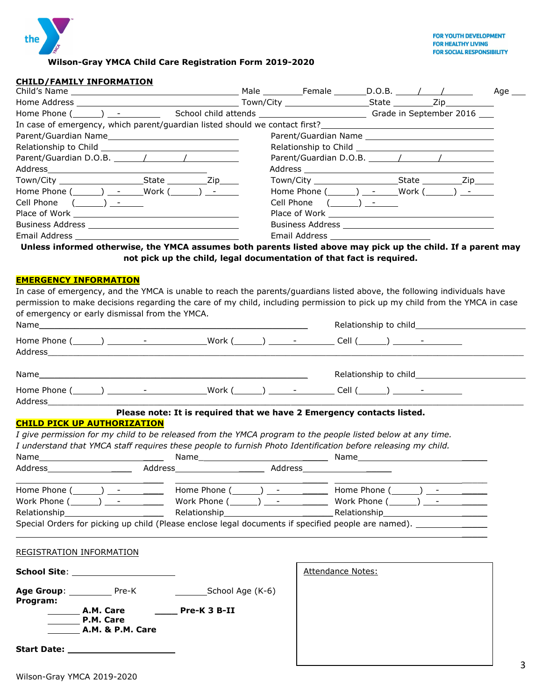

**Wilson-Gray YMCA Child Care Registration Form 2019-2020**

#### **CHILD/FAMILY INFORMATION**

|                                                                                                                                                                                                  |                                             |  | Age |
|--------------------------------------------------------------------------------------------------------------------------------------------------------------------------------------------------|---------------------------------------------|--|-----|
|                                                                                                                                                                                                  |                                             |  |     |
| Home Phone ( ightarrow control of the School child attends  subsequently control of the September 2016  Thome Phone ( september 2016  school child attends $\frac{1}{2}$ Grade in September 2016 |                                             |  |     |
| In case of emergency, which parent/guardian listed should we contact first? __________________________________                                                                                   |                                             |  |     |
|                                                                                                                                                                                                  |                                             |  |     |
|                                                                                                                                                                                                  |                                             |  |     |
|                                                                                                                                                                                                  |                                             |  |     |
|                                                                                                                                                                                                  |                                             |  |     |
|                                                                                                                                                                                                  |                                             |  |     |
| Home Phone $(\_\_\_\_)$ - Work $(\_\_\_)$ -                                                                                                                                                      | Home Phone $(\_\_\_\_)$ - Work $(\_\_\_)$ - |  |     |
| Cell Phone $(\_\_)$ - $\_\_$                                                                                                                                                                     |                                             |  |     |
|                                                                                                                                                                                                  |                                             |  |     |
|                                                                                                                                                                                                  |                                             |  |     |
|                                                                                                                                                                                                  | Email Address ________________________      |  |     |
| Unlose informed etherwise, the VMCA accumes both narents listed above may nigh un the shild. If a narent may                                                                                     |                                             |  |     |

**Unless informed otherwise, the YMCA assumes both parents listed above may pick up the child. If a parent may not pick up the child, legal documentation of that fact is required.**

#### **EMERGENCY INFORMATION**

| Home Phone (______) _________________________Work (______) _____________Cell (______) ______________                                                                                                                                                                                                                                                          |                             |                                                                       |  |                          |  |  |
|---------------------------------------------------------------------------------------------------------------------------------------------------------------------------------------------------------------------------------------------------------------------------------------------------------------------------------------------------------------|-----------------------------|-----------------------------------------------------------------------|--|--------------------------|--|--|
| <b>CHILD PICK UP AUTHORIZATION</b>                                                                                                                                                                                                                                                                                                                            |                             | Please note: It is required that we have 2 Emergency contacts listed. |  |                          |  |  |
| I give permission for my child to be released from the YMCA program to the people listed below at any time.<br>I understand that YMCA staff requires these people to furnish Photo Identification before releasing my child.                                                                                                                                  |                             |                                                                       |  |                          |  |  |
|                                                                                                                                                                                                                                                                                                                                                               |                             |                                                                       |  |                          |  |  |
| Home Phone $(\_\_\_\_\_\$ - Home Phone $(\_\_\_\_\)_$ - Home Phone $(\_\_\_\_\_\)_$ -<br>Work Phone $(\_\_)$ - Work Phone $(\_\_)$ - Work Phone Work Phone $(\_\_)$ -<br>Relationship Relationship Relationship Relationship Relationship Relationship<br>Special Orders for picking up child (Please enclose legal documents if specified people are named). |                             |                                                                       |  |                          |  |  |
| REGISTRATION INFORMATION                                                                                                                                                                                                                                                                                                                                      |                             |                                                                       |  |                          |  |  |
| School Site: _____________________                                                                                                                                                                                                                                                                                                                            |                             |                                                                       |  | <b>Attendance Notes:</b> |  |  |
| Program:<br>D.M. Care                                                                                                                                                                                                                                                                                                                                         |                             |                                                                       |  |                          |  |  |
|                                                                                                                                                                                                                                                                                                                                                               | <b>A.M. &amp; P.M. Care</b> |                                                                       |  |                          |  |  |
|                                                                                                                                                                                                                                                                                                                                                               |                             |                                                                       |  |                          |  |  |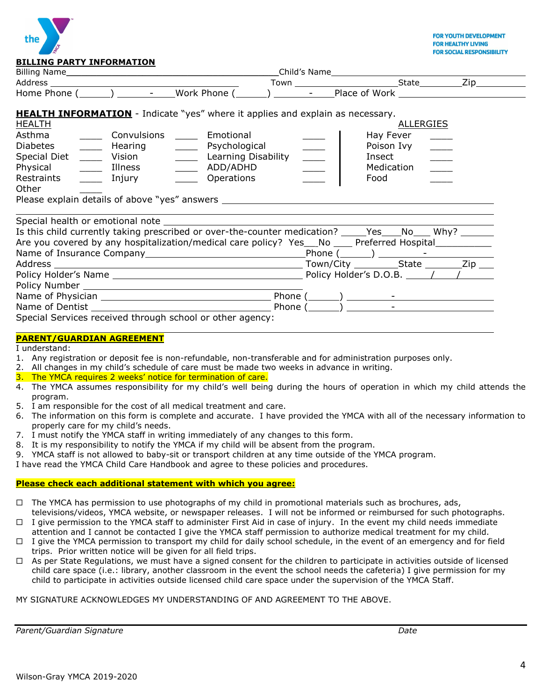

| <b>HEALTH INFORMATION</b> - Indicate "yes" where it applies and explain as necessary.<br><b>HEALTH</b><br><b>ALLERGIES</b><br>Asthma<br>Convulsions _____<br>Emotional<br>Hay Fever<br>$\begin{array}{c} \begin{array}{c} \begin{array}{c} \end{array} \\ \begin{array}{c} \end{array} \end{array} \end{array}$<br>Diabetes _____<br>Hearing ________ Psychological<br>Poison Ivy<br>$\frac{1}{\sqrt{2}}$<br>$\frac{1}{\sqrt{2\pi}}$<br>Insect<br>Medication<br>$\mathcal{L}(\mathcal{L})$<br>Restraints<br>Injury ________ Operations<br>Food<br>$\overline{\phantom{a}}$<br>Other<br>Is this child currently taking prescribed or over-the-counter medication? _____Yes____No____ Why? _______<br>Are you covered by any hospitalization/medical care policy? Yes___No ____ Preferred Hospital____________ | <u> BILLING FARTI INI ORMATION</u> |  |  |  |  |
|--------------------------------------------------------------------------------------------------------------------------------------------------------------------------------------------------------------------------------------------------------------------------------------------------------------------------------------------------------------------------------------------------------------------------------------------------------------------------------------------------------------------------------------------------------------------------------------------------------------------------------------------------------------------------------------------------------------------------------------------------------------------------------------------------------------|------------------------------------|--|--|--|--|
|                                                                                                                                                                                                                                                                                                                                                                                                                                                                                                                                                                                                                                                                                                                                                                                                              |                                    |  |  |  |  |
|                                                                                                                                                                                                                                                                                                                                                                                                                                                                                                                                                                                                                                                                                                                                                                                                              |                                    |  |  |  |  |
|                                                                                                                                                                                                                                                                                                                                                                                                                                                                                                                                                                                                                                                                                                                                                                                                              |                                    |  |  |  |  |
| Phone ( )<br>the control of the control of the control of<br>Special Services received through school or other agency:                                                                                                                                                                                                                                                                                                                                                                                                                                                                                                                                                                                                                                                                                       |                                    |  |  |  |  |

### **PARENT/GUARDIAN AGREEMENT**

I understand:

- 1. Any registration or deposit fee is non-refundable, non-transferable and for administration purposes only.
- 2. All changes in my child's schedule of care must be made two weeks in advance in writing.
- 3. The YMCA requires 2 weeks' notice for termination of care.
- 4. The YMCA assumes responsibility for my child's well being during the hours of operation in which my child attends the program.
- 5. I am responsible for the cost of all medical treatment and care.
- 6. The information on this form is complete and accurate. I have provided the YMCA with all of the necessary information to properly care for my child's needs.
- 7. I must notify the YMCA staff in writing immediately of any changes to this form.
- 8. It is my responsibility to notify the YMCA if my child will be absent from the program.
- 9. YMCA staff is not allowed to baby-sit or transport children at any time outside of the YMCA program.

I have read the YMCA Child Care Handbook and agree to these policies and procedures.

### **Please check each additional statement with which you agree:**

- $\Box$  The YMCA has permission to use photographs of my child in promotional materials such as brochures, ads, televisions/videos, YMCA website, or newspaper releases. I will not be informed or reimbursed for such photographs.
- $\Box$  I give permission to the YMCA staff to administer First Aid in case of injury. In the event my child needs immediate attention and I cannot be contacted I give the YMCA staff permission to authorize medical treatment for my child.
- $\Box$  I give the YMCA permission to transport my child for daily school schedule, in the event of an emergency and for field trips. Prior written notice will be given for all field trips.
- $\Box$  As per State Regulations, we must have a signed consent for the children to participate in activities outside of licensed child care space (i.e.: library, another classroom in the event the school needs the cafeteria) I give permission for my child to participate in activities outside licensed child care space under the supervision of the YMCA Staff.

MY SIGNATURE ACKNOWLEDGES MY UNDERSTANDING OF AND AGREEMENT TO THE ABOVE.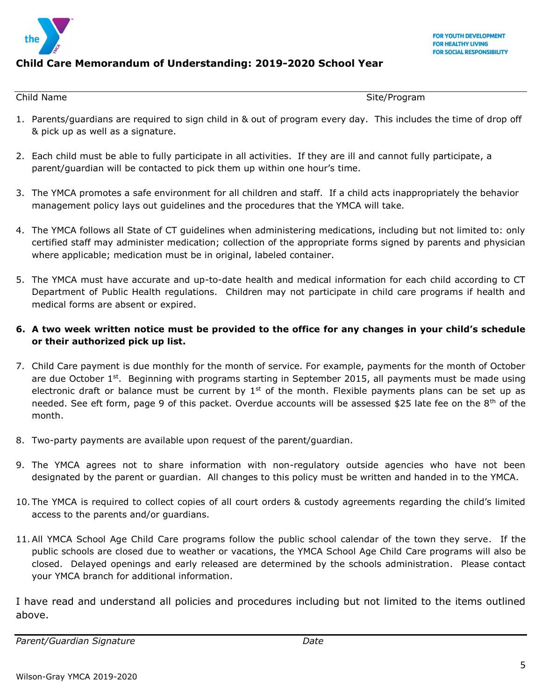

## **Child Care Memorandum of Understanding: 2019-2020 School Year**

Child Name Site/Program

- 1. Parents/guardians are required to sign child in & out of program every day. This includes the time of drop off & pick up as well as a signature.
- 2. Each child must be able to fully participate in all activities. If they are ill and cannot fully participate, a parent/guardian will be contacted to pick them up within one hour's time.
- 3. The YMCA promotes a safe environment for all children and staff. If a child acts inappropriately the behavior management policy lays out guidelines and the procedures that the YMCA will take.
- 4. The YMCA follows all State of CT guidelines when administering medications, including but not limited to: only certified staff may administer medication; collection of the appropriate forms signed by parents and physician where applicable; medication must be in original, labeled container.
- 5. The YMCA must have accurate and up-to-date health and medical information for each child according to CT Department of Public Health regulations. Children may not participate in child care programs if health and medical forms are absent or expired.

### **6. A two week written notice must be provided to the office for any changes in your child's schedule or their authorized pick up list.**

- 7. Child Care payment is due monthly for the month of service. For example, payments for the month of October are due October  $1<sup>st</sup>$ . Beginning with programs starting in September 2015, all payments must be made using electronic draft or balance must be current by  $1<sup>st</sup>$  of the month. Flexible payments plans can be set up as needed. See eft form, page 9 of this packet. Overdue accounts will be assessed \$25 late fee on the 8<sup>th</sup> of the month.
- 8. Two-party payments are available upon request of the parent/guardian.
- 9. The YMCA agrees not to share information with non-regulatory outside agencies who have not been designated by the parent or guardian. All changes to this policy must be written and handed in to the YMCA.
- 10. The YMCA is required to collect copies of all court orders & custody agreements regarding the child's limited access to the parents and/or guardians.
- 11.All YMCA School Age Child Care programs follow the public school calendar of the town they serve. If the public schools are closed due to weather or vacations, the YMCA School Age Child Care programs will also be closed. Delayed openings and early released are determined by the schools administration. Please contact your YMCA branch for additional information.

I have read and understand all policies and procedures including but not limited to the items outlined above.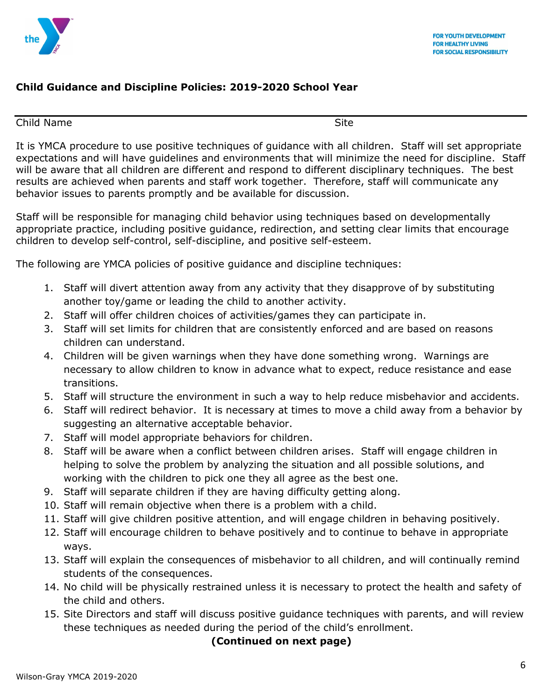

## **Child Guidance and Discipline Policies: 2019-2020 School Year**

#### Child Name Site

It is YMCA procedure to use positive techniques of guidance with all children. Staff will set appropriate expectations and will have guidelines and environments that will minimize the need for discipline. Staff will be aware that all children are different and respond to different disciplinary techniques. The best results are achieved when parents and staff work together. Therefore, staff will communicate any behavior issues to parents promptly and be available for discussion.

Staff will be responsible for managing child behavior using techniques based on developmentally appropriate practice, including positive guidance, redirection, and setting clear limits that encourage children to develop self-control, self-discipline, and positive self-esteem.

The following are YMCA policies of positive guidance and discipline techniques:

- 1. Staff will divert attention away from any activity that they disapprove of by substituting another toy/game or leading the child to another activity.
- 2. Staff will offer children choices of activities/games they can participate in.
- 3. Staff will set limits for children that are consistently enforced and are based on reasons children can understand.
- 4. Children will be given warnings when they have done something wrong. Warnings are necessary to allow children to know in advance what to expect, reduce resistance and ease transitions.
- 5. Staff will structure the environment in such a way to help reduce misbehavior and accidents.
- 6. Staff will redirect behavior. It is necessary at times to move a child away from a behavior by suggesting an alternative acceptable behavior.
- 7. Staff will model appropriate behaviors for children.
- 8. Staff will be aware when a conflict between children arises. Staff will engage children in helping to solve the problem by analyzing the situation and all possible solutions, and working with the children to pick one they all agree as the best one.
- 9. Staff will separate children if they are having difficulty getting along.
- 10. Staff will remain objective when there is a problem with a child.
- 11. Staff will give children positive attention, and will engage children in behaving positively.
- 12. Staff will encourage children to behave positively and to continue to behave in appropriate ways.
- 13. Staff will explain the consequences of misbehavior to all children, and will continually remind students of the consequences.
- 14. No child will be physically restrained unless it is necessary to protect the health and safety of the child and others.
- 15. Site Directors and staff will discuss positive guidance techniques with parents, and will review these techniques as needed during the period of the child's enrollment.

### **(Continued on next page)**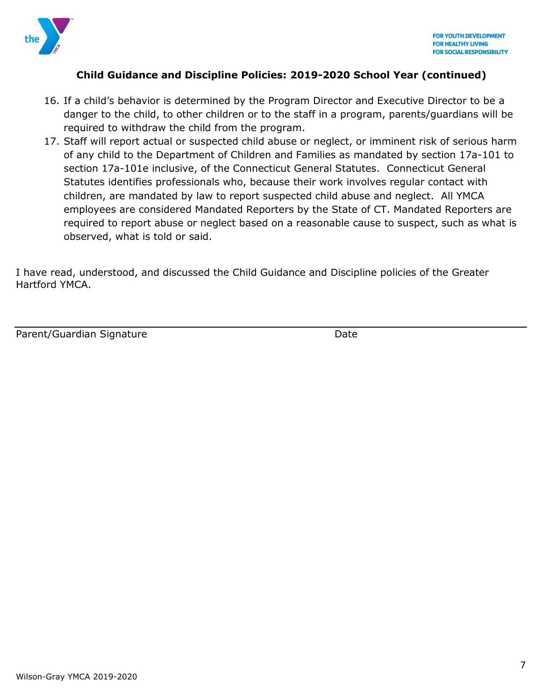

### **Child Guidance and Discipline Policies: 2019-2020 School Year (continued)**

- 16. If a child's behavior is determined by the Program Director and Executive Director to be a danger to the child, to other children or to the staff in a program, parents/guardians will be required to withdraw the child from the program.
- 17. Staff will report actual or suspected child abuse or neglect, or imminent risk of serious harm of any child to the Department of Children and Families as mandated by section 17a-101 to section 17a-101e inclusive, of the Connecticut General Statutes. Connecticut General Statutes identifies professionals who, because their work involves regular contact with children, are mandated by law to report suspected child abuse and neglect. All YMCA employees are considered Mandated Reporters by the State of CT. Mandated Reporters are required to report abuse or neglect based on a reasonable cause to suspect, such as what is observed, what is told or said.

I have read, understood, and discussed the Child Guidance and Discipline policies of the Greater Hartford YMCA.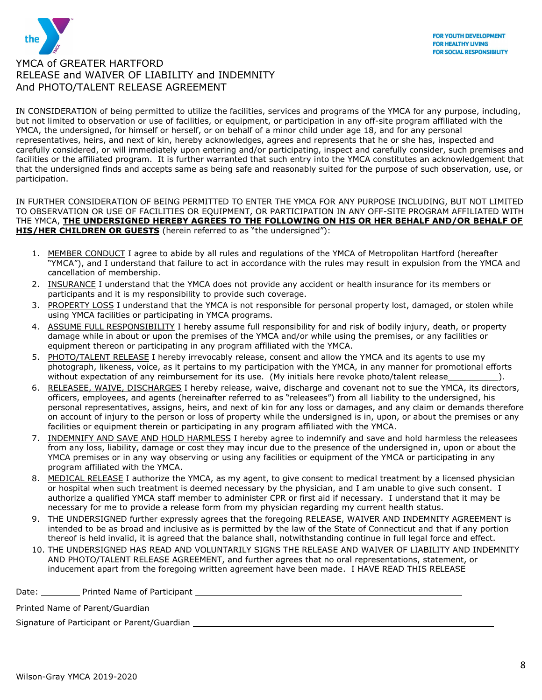

IN CONSIDERATION of being permitted to utilize the facilities, services and programs of the YMCA for any purpose, including, but not limited to observation or use of facilities, or equipment, or participation in any off-site program affiliated with the YMCA, the undersigned, for himself or herself, or on behalf of a minor child under age 18, and for any personal representatives, heirs, and next of kin, hereby acknowledges, agrees and represents that he or she has, inspected and carefully considered, or will immediately upon entering and/or participating, inspect and carefully consider, such premises and facilities or the affiliated program. It is further warranted that such entry into the YMCA constitutes an acknowledgement that that the undersigned finds and accepts same as being safe and reasonably suited for the purpose of such observation, use, or participation.

IN FURTHER CONSIDERATION OF BEING PERMITTED TO ENTER THE YMCA FOR ANY PURPOSE INCLUDING, BUT NOT LIMITED TO OBSERVATION OR USE OF FACILITIES OR EQUIPMENT, OR PARTICIPATION IN ANY OFF-SITE PROGRAM AFFILIATED WITH THE YMCA, **THE UNDERSIGNED HEREBY AGREES TO THE FOLLOWING ON HIS OR HER BEHALF AND/OR BEHALF OF HIS/HER CHILDREN OR GUESTS** (herein referred to as "the undersigned"):

- 1. MEMBER CONDUCT I agree to abide by all rules and regulations of the YMCA of Metropolitan Hartford (hereafter "YMCA"), and I understand that failure to act in accordance with the rules may result in expulsion from the YMCA and cancellation of membership.
- 2. INSURANCE I understand that the YMCA does not provide any accident or health insurance for its members or participants and it is my responsibility to provide such coverage.
- 3. PROPERTY LOSS I understand that the YMCA is not responsible for personal property lost, damaged, or stolen while using YMCA facilities or participating in YMCA programs.
- 4. ASSUME FULL RESPONSIBILITY I hereby assume full responsibility for and risk of bodily injury, death, or property damage while in about or upon the premises of the YMCA and/or while using the premises, or any facilities or equipment thereon or participating in any program affiliated with the YMCA.
- 5. PHOTO/TALENT RELEASE I hereby irrevocably release, consent and allow the YMCA and its agents to use mv photograph, likeness, voice, as it pertains to my participation with the YMCA, in any manner for promotional efforts without expectation of any reimbursement for its use. (My initials here revoke photo/talent release  $\qquad \qquad$ ).
- 6. RELEASEE, WAIVE, DISCHARGES I hereby release, waive, discharge and covenant not to sue the YMCA, its directors, officers, employees, and agents (hereinafter referred to as "releasees") from all liability to the undersigned, his personal representatives, assigns, heirs, and next of kin for any loss or damages, and any claim or demands therefore on account of injury to the person or loss of property while the undersigned is in, upon, or about the premises or any facilities or equipment therein or participating in any program affiliated with the YMCA.
- 7. INDEMNIFY AND SAVE AND HOLD HARMLESS I hereby agree to indemnify and save and hold harmless the releasees from any loss, liability, damage or cost they may incur due to the presence of the undersigned in, upon or about the YMCA premises or in any way observing or using any facilities or equipment of the YMCA or participating in any program affiliated with the YMCA.
- 8. MEDICAL RELEASE I authorize the YMCA, as my agent, to give consent to medical treatment by a licensed physician or hospital when such treatment is deemed necessary by the physician, and I am unable to give such consent. I authorize a qualified YMCA staff member to administer CPR or first aid if necessary. I understand that it may be necessary for me to provide a release form from my physician regarding my current health status.
- 9. THE UNDERSIGNED further expressly agrees that the foregoing RELEASE, WAIVER AND INDEMNITY AGREEMENT is intended to be as broad and inclusive as is permitted by the law of the State of Connecticut and that if any portion thereof is held invalid, it is agreed that the balance shall, notwithstanding continue in full legal force and effect.
- 10. THE UNDERSIGNED HAS READ AND VOLUNTARILY SIGNS THE RELEASE AND WAIVER OF LIABILITY AND INDEMNITY AND PHOTO/TALENT RELEASE AGREEMENT, and further agrees that no oral representations, statement, or inducement apart from the foregoing written agreement have been made. I HAVE READ THIS RELEASE

Date: Printed Name of Participant **Prince Access 2016** 

Printed Name of Parent/Guardian

Signature of Participant or Parent/Guardian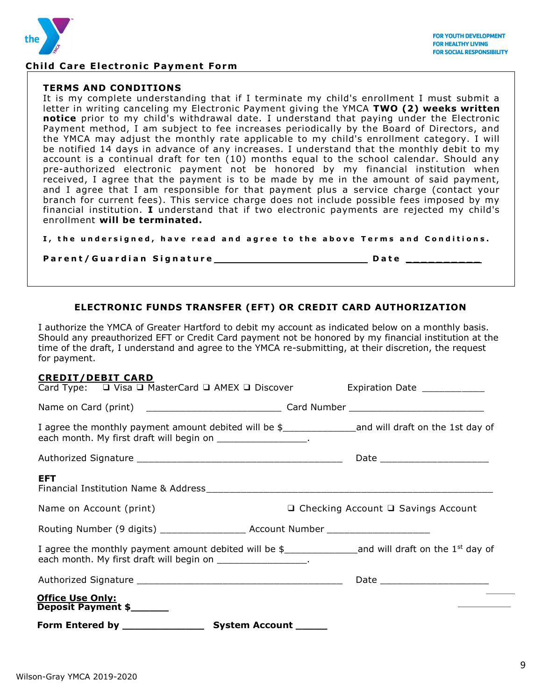

#### **Child Care Electronic Payment Form**

#### **TERMS AND CONDITIONS**

It is my complete understanding that if I terminate my child's enrollment I must submit a letter in writing canceling my Electronic Payment giving the YMCA **TWO (2) weeks written notice** prior to my child's withdrawal date. I understand that paying under the Electronic Payment method, I am subject to fee increases periodically by the Board of Directors, and the YMCA may adjust the monthly rate applicable to my child's enrollment category. I will be notified 14 days in advance of any increases. I understand that the monthly debit to my account is a continual draft for ten (10) months equal to the school calendar. Should any pre-authorized electronic payment not be honored by my financial institution when received, I agree that the payment is to be made by me in the amount of said payment, and I agree that I am responsible for that payment plus a service charge (contact your branch for current fees). This service charge does not include possible fees imposed by my financial institution. **I** understand that if two electronic payments are rejected my child's enrollment **will be terminated.**

I, the undersigned, have read and agree to the above Terms and Conditions.

**Parent/Guardian Signature\_\_\_\_\_\_\_\_\_\_\_\_\_\_\_\_\_\_\_\_\_\_\_\_\_\_\_Date** \_

#### **ELECTRONIC FUNDS TRANSFER (EFT) OR CREDIT CARD AUTHORIZATION**

I authorize the YMCA of Greater Hartford to debit my account as indicated below on a monthly basis. Should any preauthorized EFT or Credit Card payment not be honored by my financial institution at the time of the draft, I understand and agree to the YMCA re-submitting, at their discretion, the request for payment.

#### **CREDIT/DEBIT CARD**

| 955911/DEDI1 GARD<br>Card Type: □ Visa □ MasterCard □ AMEX □ Discover | Expiration Date ____________                                                                                 |
|-----------------------------------------------------------------------|--------------------------------------------------------------------------------------------------------------|
|                                                                       |                                                                                                              |
| each month. My first draft will begin on __________________.          | I agree the monthly payment amount debited will be \$_______________________and will draft on the 1st day of |
|                                                                       |                                                                                                              |
| EFT.                                                                  |                                                                                                              |
| Name on Account (print)                                               | $\Box$ Checking Account $\Box$ Savings Account                                                               |
|                                                                       |                                                                                                              |
| each month. My first draft will begin on ___________________.         |                                                                                                              |
|                                                                       |                                                                                                              |
| <b>Office Use Only:</b><br>Deposit Payment \$                         |                                                                                                              |
| Form Entered by _______________                                       | System Account _____                                                                                         |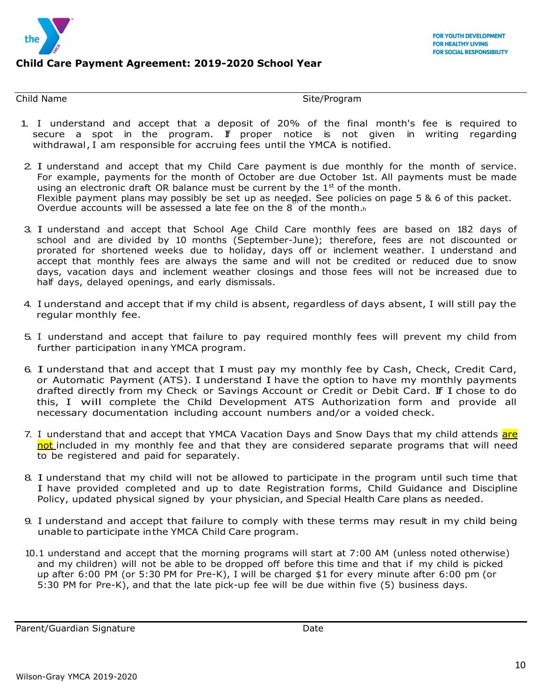

### **Child Care Payment Agreement: 2019-2020 School Year**

Child Name Site/Program

- 1. I understand and accept that a deposit of 20% of the final month's fee is required to secure a spot in the program. If proper notice is not given in writing regarding withdrawal, I am responsible for accruing fees until the YMCA is notified.
- Overdue accounts will be assessed a late fee on the  $8$  of the month. $h$ 2. I understand and accept that my Child Care payment is due monthly for the month of service. For example, payments for the month of October are due October 1st. All payments must be made using an electronic draft OR balance must be current by the  $1<sup>st</sup>$  of the month. Flexible payment plans may possibly be set up as needed. See policies on page 5 & 6 of this packet.
- 3. I understand and accept that School Age Child Care monthly fees are based on 182 days of school and are divided by 10 months (September-June); therefore, fees are not discounted or prorated for shortened weeks due to holiday, days off or inclement weather. I understand and accept that monthly fees are always the same and will not be credited or reduced due to snow days, vacation days and inclement weather closings and those fees will not be increased due to half days, delayed openings, and early dismissals.
- 4. I understand and accept that if my child is absent, regardless of days absent, I will still pay the regular monthly fee.
- 5. I understand and accept that failure to pay required monthly fees will prevent my child from further participation inany YMCA program.
- 6. I understand that and accept that I must pay my monthly fee by Cash, Check, Credit Card, or Automatic Payment (ATS). I understand I have the option to have my monthly payments drafted directly from my Check or Savings Account or Credit or Debit Card. If I chose to do this, I will complete the Child Development ATS Authorization form and provide all necessary documentation including account numbers and/or a voided check.
- 7. I understand that and accept that YMCA Vacation Days and Snow Days that my child attends are not included in my monthly fee and that they are considered separate programs that will need to be registered and paid for separately.
- 8. I understand that my child will not be allowed to participate in the program until such time that I have provided completed and up to date Registration forms, Child Guidance and Discipline Policy, updated physical signed by your physician, and Special Health Care plans as needed.
- 9. I understand and accept that failure to comply with these terms may result in my child being unable to participate inthe YMCA Child Care program.
- 10.1 understand and accept that the morning programs will start at 7:00 AM (unless noted otherwise) and my children) will not be able to be dropped off before this time and that if my child is picked up after 6:00 PM (or 5:30 PM for Pre-K), I will be charged \$1 for every minute after 6:00 pm (or 5:30 PM for Pre-K), and that the late pick-up fee will be due within five (5) business days.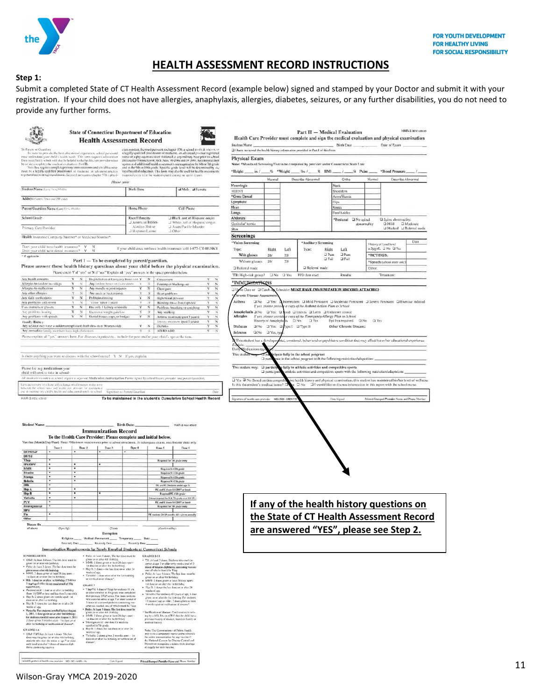

# **HEALTH ASSESSMENT RECORD INSTRUCTIONS**

#### **Step 1:**

Submit a completed State of CT Health Assessment Record (example below) signed and stamped by your Doctor and submit it with your registration. If your child does not have allergies, anaphylaxis, allergies, diabetes, seizures, or any further disabilities, you do not need to provide any further forms.

|                                                                                                                          | <b>State of Connecticut Department of Education</b><br><b>Health Assessment Record</b>                                                                                                                                                 |                                                                                                                                                                 |                                                            | Health Care Provider must complete and sign the medical evaluation and physical examination<br>Student Name |                                                                                                                                           | $Part II - Medical Evaluation$<br>Birth Date               | Date of Exam                                                                                                                                                                                   | HAR-3 REV. 4/2012        |
|--------------------------------------------------------------------------------------------------------------------------|----------------------------------------------------------------------------------------------------------------------------------------------------------------------------------------------------------------------------------------|-----------------------------------------------------------------------------------------------------------------------------------------------------------------|------------------------------------------------------------|-------------------------------------------------------------------------------------------------------------|-------------------------------------------------------------------------------------------------------------------------------------------|------------------------------------------------------------|------------------------------------------------------------------------------------------------------------------------------------------------------------------------------------------------|--------------------------|
| To Paroni ne Guardian                                                                                                    |                                                                                                                                                                                                                                        | cian assistant, Berrecel pursuant rochapter 170, a school modical colvisor, o<br>a legally qualified practitioner of medicine, an advanced prodice registered   |                                                            | El I have reviewed the health history information provided in Part I of this form                           |                                                                                                                                           |                                                            |                                                                                                                                                                                                |                          |
|                                                                                                                          | In order to provide the best educational experience, school personnel<br>titist innlerstand your child's health needs. This torm requests information<br>from you (Part L) which will also be helpful to the health care provider when | nurse or a physiquin usedded stationed at any military buse prior to school<br>entrince in Connecticut(CA3S, Secs. 10-204a and 10-206). Au immunication         |                                                            | Physical Exam                                                                                               |                                                                                                                                           |                                                            |                                                                                                                                                                                                |                          |
|                                                                                                                          | be or size completes the modical evaluation (Port II).<br>State task requires complete primary immersizations and a health assess-                                                                                                     | iquities and additional health assessments are mapleed in the 6th or 7th grade<br>and in the 9th or 10th grade. Specific grade tessel will be determined by the |                                                            | Note: *Mandated Screening/Test to be completed by provider under Connecticut State Law                      |                                                                                                                                           |                                                            |                                                                                                                                                                                                |                          |
|                                                                                                                          | ment by a legally qualified practitions of insdicine, an advanced practice<br>registered nurseen registered morw. Econsed pursuant to chapter 378/5 physi-                                                                             | local beard of education. This form may also be used for health assessments<br>required every year for students participating on sports teams                   |                                                            | *Height _____ in. / _____% *Weight _____ lbs. / _____ % BMI _____ / ______% Pulse _____                     |                                                                                                                                           |                                                            | *Blood Pressure                                                                                                                                                                                |                          |
|                                                                                                                          | Please com                                                                                                                                                                                                                             |                                                                                                                                                                 |                                                            | Normal<br>Nouralagic                                                                                        | Describe Abnormal                                                                                                                         | Ortho<br>Neck                                              | Normal                                                                                                                                                                                         | Describe Abnormal        |
| Student Name (Lot. First, Middle)                                                                                        |                                                                                                                                                                                                                                        | Birth Date                                                                                                                                                      | J Male J Female                                            | <b>HEENT</b>                                                                                                |                                                                                                                                           | Shoulders                                                  |                                                                                                                                                                                                |                          |
| Address (Since), Youn and ZIP code)                                                                                      |                                                                                                                                                                                                                                        |                                                                                                                                                                 |                                                            | *Gross Dental<br>Lymphatic                                                                                  |                                                                                                                                           | Anns/Hands                                                 |                                                                                                                                                                                                |                          |
| Patent/Guardian Name (Last First, Middle)                                                                                |                                                                                                                                                                                                                                        | Home Phine                                                                                                                                                      | Cell Phone                                                 | Heart                                                                                                       |                                                                                                                                           | Hips<br>Knees                                              |                                                                                                                                                                                                |                          |
| School/Grade                                                                                                             |                                                                                                                                                                                                                                        | Race/Ethnicity                                                                                                                                                  | 2 Black, not of Hispanic origin                            | Lungs<br>Abdomen                                                                                            |                                                                                                                                           | Feet/Ankles                                                |                                                                                                                                                                                                |                          |
|                                                                                                                          |                                                                                                                                                                                                                                        | J American Indran-<br>Alaskan Native                                                                                                                            | I White, not of Hispanic origin                            | Genitalia/ hernia                                                                                           |                                                                                                                                           | *Postural                                                  | Q Spine absonnality:<br>The spinal<br>$\Box$ Mild<br>abnormality                                                                                                                               | □ Moderate               |
| Primary Care Provider                                                                                                    |                                                                                                                                                                                                                                        | J Hispanic/Latino<br>J Other                                                                                                                                    | Assan/Pacific Islander                                     | Skin                                                                                                        |                                                                                                                                           |                                                            |                                                                                                                                                                                                | □ Marked □ Referral made |
|                                                                                                                          | Health Insurance Company/Number* or Medicaid/Number*                                                                                                                                                                                   |                                                                                                                                                                 |                                                            | <b>Screenings</b><br>Vision Screening                                                                       | *Auditory Screening                                                                                                                       |                                                            |                                                                                                                                                                                                | Date                     |
| Does your child have health insurance?<br>Does your child have dental insurance?                                         |                                                                                                                                                                                                                                        | If your child does not have bealth insurance, call 1-877-CT-HUSKY                                                                                               |                                                            | Right<br>Type:                                                                                              | Left<br>Type:                                                                                                                             | Right<br>Left                                              | History of Lead level<br>≥5µg/dL □No □Ycs                                                                                                                                                      |                          |
| 1f applicable                                                                                                            |                                                                                                                                                                                                                                        |                                                                                                                                                                 |                                                            | With glasses<br>20/                                                                                         | 20 <sub>l</sub>                                                                                                                           | $\Box$ Pass<br><b>I</b> Puss<br>$\Box$ Fuil<br>$\Box$ Fail | *HCT/HGB:                                                                                                                                                                                      |                          |
|                                                                                                                          | Part I - To be completed by parent/guardian.<br>Please answer these health history questions about your child before the physical examination.                                                                                         |                                                                                                                                                                 |                                                            | Without glasses<br>20l                                                                                      | 20l                                                                                                                                       |                                                            | *Speech (school entry enis')                                                                                                                                                                   |                          |
|                                                                                                                          | Please circle Y if "yes" or N if "no." Explain all "yes" answers in the space provided below.                                                                                                                                          |                                                                                                                                                                 |                                                            | □ Referral made<br>$\Box$ No                                                                                | Referral made<br><b>T</b> Yes<br>PPD date read:                                                                                           | Results:                                                   | Other:<br>Treatment:                                                                                                                                                                           |                          |
| Any health concerns                                                                                                      |                                                                                                                                                                                                                                        | N Beginhams of Energoisy Renovator V N Concession                                                                                                               | x<br>$\boldsymbol{\mathcal{N}}$                            | TB: High-risk group?<br>*IMMUNI <del>ZATI</del> ONS                                                         |                                                                                                                                           |                                                            |                                                                                                                                                                                                |                          |
| Allargies to tool or her slings<br>Allergies to stedication                                                              | N Any hroken houes or dislocations<br>x.<br>N Any mascle of joint injuries<br>x                                                                                                                                                        | Y<br>$N-1$<br>Fairning or blacking out<br>Y.<br>N Chest pain                                                                                                    | Y.<br>$_{\rm N}$<br>$_{\rm N}$<br>×.                       | <b>□Ue</b><br>to Date or Q Catch-                                                                           | Schedule: MUST HAVE IMMUNIZATION RECORD ATTACHED                                                                                          |                                                            |                                                                                                                                                                                                |                          |
| Any other offereics.<br>Any thirly enoblements                                                                           | $\boldsymbol{\times}$<br>Any mock or back insuries.<br>N<br>x<br>Palblein mining                                                                                                                                                       | N<br>Heart problems<br>x<br>$_{\rm N}$<br><b>Jligh blood pressure</b>                                                                                           | s<br>x<br>×                                                | hronie Disease Assessmen                                                                                    |                                                                                                                                           |                                                            |                                                                                                                                                                                                |                          |
| Апу риобени зайлання                                                                                                     | $\mathcal{N}$<br>"Mone" spast 1 years                                                                                                                                                                                                  | N<br>Blooding more than expected                                                                                                                                | $\overline{\mathbf{x}}$                                    | ⊒No ⊒Yes: D<br>Asthma<br>If yes, please provi                                                               | Intermittent I Mild Persistent I Moderate Persistent I Severe Persistent I Exercise induced<br>a copy of the Asthma Action Plan to School |                                                            |                                                                                                                                                                                                |                          |
| Uses outside or glasses.<br>Any problems hearing                                                                         | N Haconly Ukidney or textide<br>x.<br>Y<br>$\mathcal{N}$<br>Excessive weight gain/loss                                                                                                                                                 | N Problems breathing or cooxhing<br>x<br>N<br>Y<br>Any seroking                                                                                                 | $_{\rm N}$<br>Y<br>x<br>Ņ                                  | Anaphylaxis a No a Yes: @ Rood @ Insects @ Latex @ Unknown source                                           |                                                                                                                                           |                                                            |                                                                                                                                                                                                |                          |
| Any problems with speech<br>Family History                                                                               | N<br>$\mathcal{N}$<br>Dental Praces, cops, or hndpe                                                                                                                                                                                    | v<br>$_{\rm N}$<br>Asthrtu transpiring it past 3 years).<br>Seazuro treatment (pust 2 years)                                                                    | N<br>×<br>$\overline{\mathbf{x}}$<br>$\overline{v}$        | Allergies                                                                                                   | If yes, please provident copy of the Einergency Allergy Plan to School<br>History of Anaphylayis D No D Yes                               | Epi Pen required   D No                                    | $\Box$ Yes                                                                                                                                                                                     |                          |
| Any immediate family arembers have bigh cholesterol                                                                      | Any relative ever have a sudden unexplained death flexs (han 50 years (4d).                                                                                                                                                            | Y.<br>$\mathbb N$<br>Diabete<br>ADHID ADD<br>$\mathbf{x}$                                                                                                       | $\mathcal{N}$<br>Y<br>$\overline{\mathcal{N}}$<br>$\bf{v}$ | Diabetes<br>$\sqsupseteq N_0$                                                                               | □ Yes: □ type ! □ Type !!                                                                                                                 | Other Chronic Disease:                                     |                                                                                                                                                                                                |                          |
|                                                                                                                          | Please explain all "yes" answers here. For illnesses/injuries/etc., include the year and/or your child's age at the time.                                                                                                              |                                                                                                                                                                 |                                                            | Seizures<br>$\square$ No<br><sup>1</sup> Yes, typ                                                           |                                                                                                                                           |                                                            |                                                                                                                                                                                                |                          |
|                                                                                                                          |                                                                                                                                                                                                                                        |                                                                                                                                                                 |                                                            | This student hus a developm                                                                                 | etal, emotional, behavioral or psychiatric condition that may affect his or her educational experience.                                   |                                                            |                                                                                                                                                                                                |                          |
|                                                                                                                          |                                                                                                                                                                                                                                        |                                                                                                                                                                 |                                                            | Daily<br>edications (sp<br>This studen                                                                      | ipate fully in the school program                                                                                                         |                                                            |                                                                                                                                                                                                |                          |
|                                                                                                                          | Is there anything you want to discuss with the school nurse? Y N If yes, explain:                                                                                                                                                      |                                                                                                                                                                 |                                                            | Q <sub>pa</sub>                                                                                             | ite in the school program with the following restriction/adaptation:                                                                      |                                                            |                                                                                                                                                                                                |                          |
| Please list any medications your                                                                                         |                                                                                                                                                                                                                                        |                                                                                                                                                                 |                                                            | This student may: a particip                                                                                | fully in athletic activities and competitive sports                                                                                       |                                                            |                                                                                                                                                                                                |                          |
| child will need to take in school:                                                                                       | .<br>All medications token in school require a separate Medication Authorization Form signed by a health care provider and parent/gaurilian.                                                                                           |                                                                                                                                                                 |                                                            | <b>I</b> participat                                                                                         |                                                                                                                                           |                                                            | sthletic activities and competitive sports with the following restriction/adaptation:                                                                                                          |                          |
|                                                                                                                          | I give permission or release and exchange of information on this torn                                                                                                                                                                  |                                                                                                                                                                 |                                                            | T Yes T No Based on this compret<br>Is this the student's medical home?                                     |                                                                                                                                           |                                                            | ve health history and physical examination. This student has maintained his/her level of wellness<br>$\Box$ No $\Box$ 1 would like to discuss information in this report with the school nurse |                          |
|                                                                                                                          | between the school varse and boalth care provider for confidential<br>ise in meeting iny child's health and educational needs in school.                                                                                               | Signature of Parent/Goardian                                                                                                                                    | Date                                                       |                                                                                                             |                                                                                                                                           |                                                            |                                                                                                                                                                                                |                          |
| HAR-3 REV, 4/2012                                                                                                        |                                                                                                                                                                                                                                        | To be maintained in the sludent's Cumulative School Health Record                                                                                               |                                                            | Signature of health care provider MD/DO/ARR/P                                                               |                                                                                                                                           | Date Signed                                                | Primed/Stamped Provider Name and Phone Namber                                                                                                                                                  |                          |
|                                                                                                                          |                                                                                                                                                                                                                                        |                                                                                                                                                                 |                                                            |                                                                                                             |                                                                                                                                           |                                                            |                                                                                                                                                                                                |                          |
|                                                                                                                          |                                                                                                                                                                                                                                        |                                                                                                                                                                 |                                                            |                                                                                                             |                                                                                                                                           |                                                            |                                                                                                                                                                                                |                          |
| <b>Student Name:</b>                                                                                                     |                                                                                                                                                                                                                                        | <b>Birth Date:</b>                                                                                                                                              | <b>HAR-3 REV. 4/2012</b>                                   |                                                                                                             |                                                                                                                                           |                                                            |                                                                                                                                                                                                |                          |
|                                                                                                                          | <b>Immunization Record</b>                                                                                                                                                                                                             |                                                                                                                                                                 |                                                            |                                                                                                             |                                                                                                                                           |                                                            |                                                                                                                                                                                                |                          |
|                                                                                                                          | To the Health Care Provider: Please complete and initial below.                                                                                                                                                                        |                                                                                                                                                                 |                                                            |                                                                                                             |                                                                                                                                           |                                                            |                                                                                                                                                                                                |                          |
| Dose I                                                                                                                   | Vaccine (Month/Day/Vear) Note: *Minimum requirements prior to school enrollment. At subsequent exams, note booster shots only<br>Dosc 2<br>Date 3                                                                                      | Dose 4<br>Dose 5                                                                                                                                                | Dose 6                                                     |                                                                                                             |                                                                                                                                           |                                                            |                                                                                                                                                                                                |                          |
| <b>DIP/DTsP</b><br>DT/Td                                                                                                 |                                                                                                                                                                                                                                        |                                                                                                                                                                 |                                                            |                                                                                                             |                                                                                                                                           |                                                            |                                                                                                                                                                                                |                          |
| Tšap                                                                                                                     |                                                                                                                                                                                                                                        | Required for 7th ptude entry                                                                                                                                    |                                                            |                                                                                                             |                                                                                                                                           |                                                            |                                                                                                                                                                                                |                          |
| <b>IPV/OPV</b><br>MMR                                                                                                    |                                                                                                                                                                                                                                        | Required K-12th grade                                                                                                                                           |                                                            |                                                                                                             |                                                                                                                                           |                                                            |                                                                                                                                                                                                |                          |
| Measles<br>٠<br>Mumps                                                                                                    | ٠                                                                                                                                                                                                                                      | Required K-12th grade<br>Request K-120 geals                                                                                                                    |                                                            |                                                                                                             |                                                                                                                                           |                                                            |                                                                                                                                                                                                |                          |
| Rubells<br>m                                                                                                             |                                                                                                                                                                                                                                        | Required K+13f4 grade<br>FK and N (Students under egg 5                                                                                                         |                                                            |                                                                                                             |                                                                                                                                           |                                                            |                                                                                                                                                                                                |                          |
| Hep A<br>Hep II                                                                                                          |                                                                                                                                                                                                                                        | PK and K-clsen 1/1/2007 or later).<br>Required PK-12th grade                                                                                                    |                                                            |                                                                                                             |                                                                                                                                           |                                                            |                                                                                                                                                                                                |                          |
| Varicelia<br>٠<br>PCV<br>٠                                                                                               | ٠                                                                                                                                                                                                                                      | out for X & 7th products at X1/381.                                                                                                                             |                                                            |                                                                                                             |                                                                                                                                           |                                                            |                                                                                                                                                                                                |                          |
| Meningococcal                                                                                                            |                                                                                                                                                                                                                                        | PK and K Usen 1/1/2007 or later)<br>Required for Tith prace entry                                                                                               |                                                            |                                                                                                             | If any of the health history questions on                                                                                                 |                                                            |                                                                                                                                                                                                |                          |
| <b>HPV</b><br>Fh                                                                                                         |                                                                                                                                                                                                                                        | PK wastowe 24-59 matchs eld - given ann                                                                                                                         |                                                            |                                                                                                             |                                                                                                                                           |                                                            |                                                                                                                                                                                                |                          |
| Othe<br>Disnase Ha                                                                                                       |                                                                                                                                                                                                                                        |                                                                                                                                                                 |                                                            |                                                                                                             | the State of CT Health Assessment Record                                                                                                  |                                                            |                                                                                                                                                                                                |                          |
| of above                                                                                                                 | (Specify)<br>(Date)                                                                                                                                                                                                                    | (Confirmed by)                                                                                                                                                  |                                                            |                                                                                                             | are answered "YES", please see Step 2.                                                                                                    |                                                            |                                                                                                                                                                                                |                          |
|                                                                                                                          | Exemption<br>Religious ______ Medical: Permanent_                                                                                                                                                                                      | Temporary _______ Date __                                                                                                                                       |                                                            |                                                                                                             |                                                                                                                                           |                                                            |                                                                                                                                                                                                |                          |
|                                                                                                                          | Recenity Date<br>Recentify Dete                                                                                                                                                                                                        | Recentify Date                                                                                                                                                  |                                                            |                                                                                                             |                                                                                                                                           |                                                            |                                                                                                                                                                                                |                          |
|                                                                                                                          | Immunization Requirements for Newly Enrolled Students at Connecticut Schools                                                                                                                                                           |                                                                                                                                                                 |                                                            |                                                                                                             |                                                                                                                                           |                                                            |                                                                                                                                                                                                |                          |
| <b>KINDERGARTEN</b><br>· DTaP: At least 4 doses. The last dose must be                                                   | * Polio: At least 3 dutes. The last dose must be<br>given on or after 4th blithday,<br>MMR: 2 doses given in least 28 days apart-                                                                                                      | GRADES 8-12<br>. Té: At least 3 duies. Students who start the                                                                                                   |                                                            |                                                                                                             |                                                                                                                                           |                                                            |                                                                                                                                                                                                |                          |
| ven on or ailer 4th birthday.<br>* Polio: At least 3 dunes. The last dose must be                                        | Lst dose no or after the 1st birthday.<br>Hep B: 3 does - the last dose on or after 34                                                                                                                                                 | series at uge 7 or older only need a total of 3<br>doses of tetanus-dipherera containing vaccine<br>one of which should be Toup                                 |                                                            |                                                                                                             |                                                                                                                                           |                                                            |                                                                                                                                                                                                |                          |
| given on after 4th himiday.<br>MMR 2 doses given at least 28 day apart -<br>Ist duse on or after the list birthday.      | weeks of age,<br>• Vancella: 1 dose on or after the 1st birthday                                                                                                                                                                       | · Police At Igast 3 doses. The last dose must be<br>given on or after 4th binhday.                                                                              |                                                            |                                                                                                             |                                                                                                                                           |                                                            |                                                                                                                                                                                                |                          |
| · Ifde. I doic on or after 1st birthday (Children<br>5 years and older thoust med proof of Hib                           | or verification of disease*.<br><b>GRADE 7</b>                                                                                                                                                                                         | · MMR: 2 dases given at least 28 days apart<br>Ist duse on or after the 1st birthday,                                                                           |                                                            |                                                                                                             |                                                                                                                                           |                                                            |                                                                                                                                                                                                |                          |
| vaccination).<br>· Protinuouscal; I duse on or after Lst birthday<br>(born 1/1/2007 or later and less than 5 years old). | - Tdan/Té: 1 dose of Tdap for students 11 yrs.<br>or older enrolled in 7th grade who completed                                                                                                                                         | + Flop B: 3 dosps-the last dose on or after 24<br>weeks of uze.                                                                                                 |                                                            |                                                                                                             |                                                                                                                                           |                                                            |                                                                                                                                                                                                |                          |
| . Hep A: 2 doses given six months apart-1st<br>dose on or after 1st burinday.                                            | their primary DTaP series: For those students<br>the start the series at age 7 or older a total of                                                                                                                                     | Varicella: For students <13 years of age, 1 dose<br>given on or after the 1st birthday. For students<br>13 years of age or older, 2 doses given at least        |                                                            |                                                                                                             |                                                                                                                                           |                                                            |                                                                                                                                                                                                |                          |
| · Hep B: 3 duses; the last duse on or after 24<br>works of ugo,                                                          | 3 doses of teamer-diphtheris containing vac-<br>ones are needed, one of which must be Tdap                                                                                                                                             | 4 weeks agart or verification of disease?                                                                                                                       |                                                            |                                                                                                             |                                                                                                                                           |                                                            |                                                                                                                                                                                                |                          |
| · Vericella: For students contilled before August<br>1, 2011, 1 dave given un ur after 1st birthday;                     | · Police At least 3 doses. The last dose must be<br>given on or after 4th birthday.<br>MMR: 2 doses given at least 28 days apart-                                                                                                      | * Verification of disease: Confirmation in writ-<br>ing by a MD, PA, or APRN that the child has a                                                               |                                                            |                                                                                                             |                                                                                                                                           |                                                            |                                                                                                                                                                                                |                          |
| for students enrolled un or after August 1, 2011<br>2 doses given 3 months upon - 1st dose on or                         | Ist does on or after the Tet birthday,<br>Meningococcal: one dote for students                                                                                                                                                         | previous history of disease, based on family or<br>medical history.                                                                                             |                                                            |                                                                                                             |                                                                                                                                           |                                                            |                                                                                                                                                                                                |                          |
| after be barbelsy or verification of disease".<br><b>GRADES 1-6</b>                                                      | carolled in 7th grade,<br>Hep B: 3 doses-ilie last dose on or after 24                                                                                                                                                                 | Nate: The Commissioner of Public Health                                                                                                                         |                                                            |                                                                                                             |                                                                                                                                           |                                                            |                                                                                                                                                                                                |                          |
| · DTuP /Td/Tdup: At least 4 doses The last<br>dose must be given on or after 4th birthday,                               | veeks of age<br>· Varicella: 2 dotes given 3 months apart - ist                                                                                                                                                                        | may issue a temporary waiver to the schedule<br>for active immunization for any vaccine if                                                                      |                                                            |                                                                                                             |                                                                                                                                           |                                                            |                                                                                                                                                                                                |                          |
| students who start the series at uge 7 or older<br>only need a total of 3 doses of texanus-diph-                         | dose on or after 1st birdiday or verification of<br>disease".                                                                                                                                                                          | the National Centers for Divease Control and<br>Prevention recognizes a mation-wide shortage                                                                    |                                                            |                                                                                                             |                                                                                                                                           |                                                            |                                                                                                                                                                                                |                          |
| Iberia containing vaccine                                                                                                |                                                                                                                                                                                                                                        | of supply for such vaccine,                                                                                                                                     |                                                            |                                                                                                             |                                                                                                                                           |                                                            |                                                                                                                                                                                                |                          |
| Initial/Signature of boalth case provider MD / DO / APRN / PA                                                            | Date Signed                                                                                                                                                                                                                            |                                                                                                                                                                 |                                                            |                                                                                                             |                                                                                                                                           |                                                            |                                                                                                                                                                                                |                          |
|                                                                                                                          |                                                                                                                                                                                                                                        | Printed/Stumped Protéder Name and Phone Number                                                                                                                  |                                                            |                                                                                                             |                                                                                                                                           |                                                            |                                                                                                                                                                                                |                          |